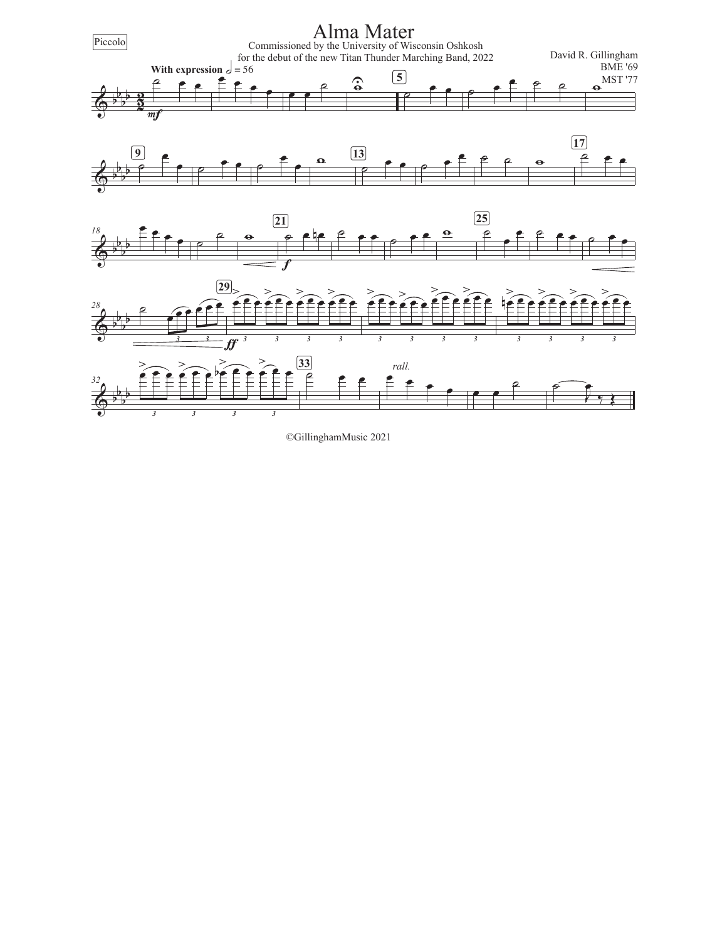

©GillinghamMusic 2021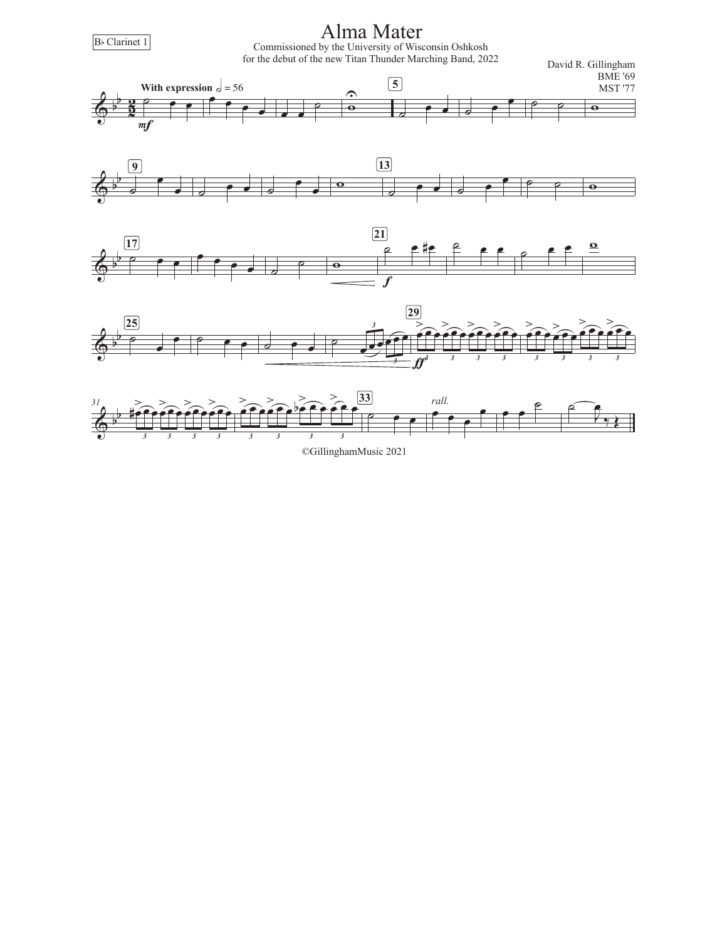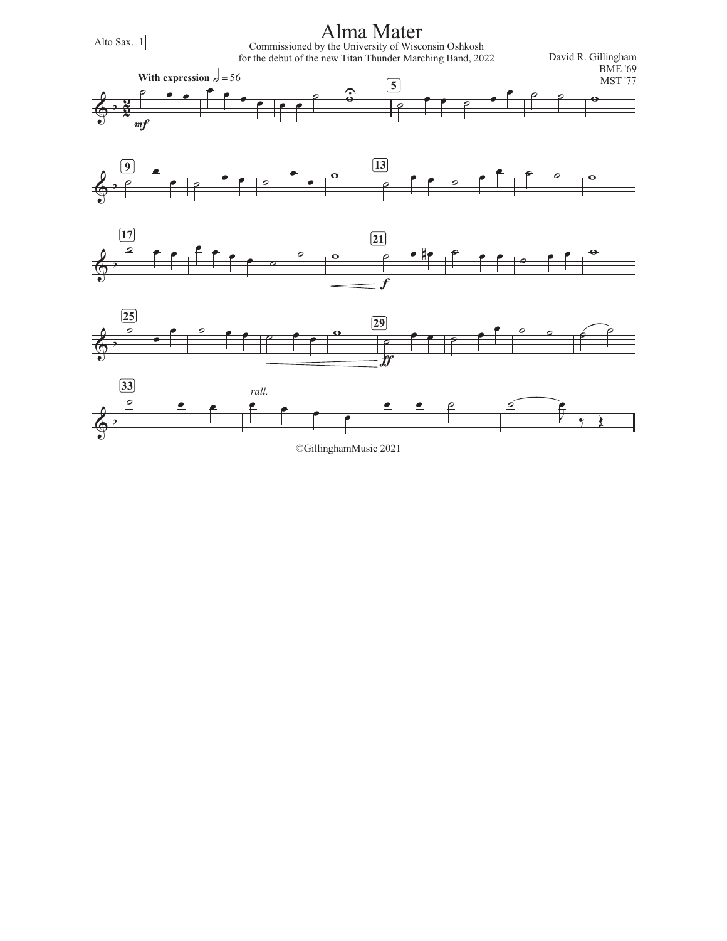

<sup>©</sup>GillinghamMusic 2021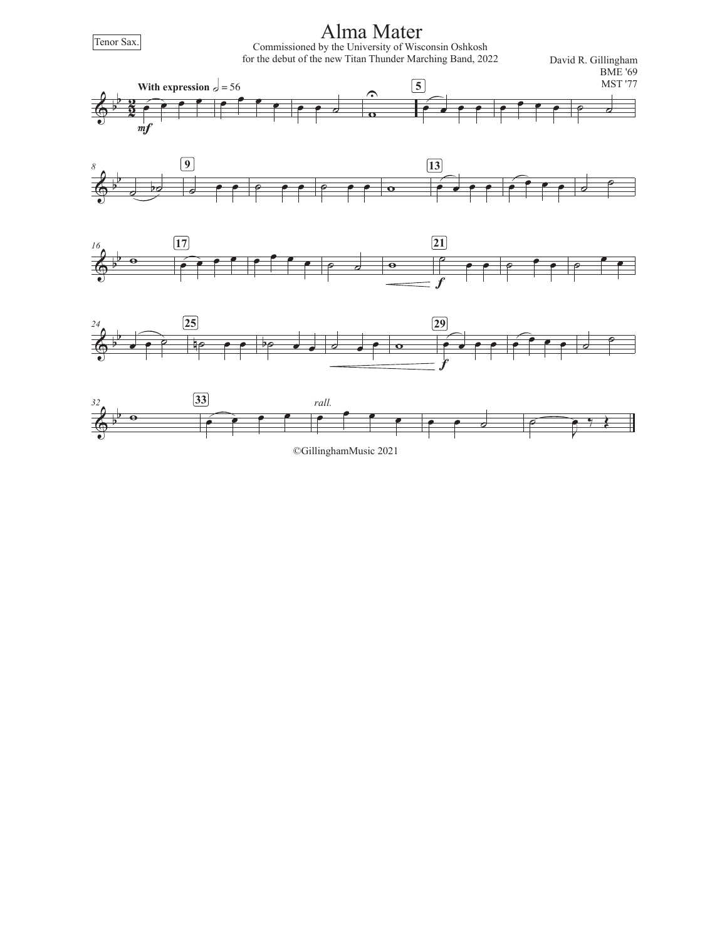Tenor Sax.

Alma Mater

Commissioned by the University of Wisconsin Oshkosh for the debut of the new Titan Thunder Marching Band, 2022

David R. Gillingham BME '69











©GillinghamMusic 2021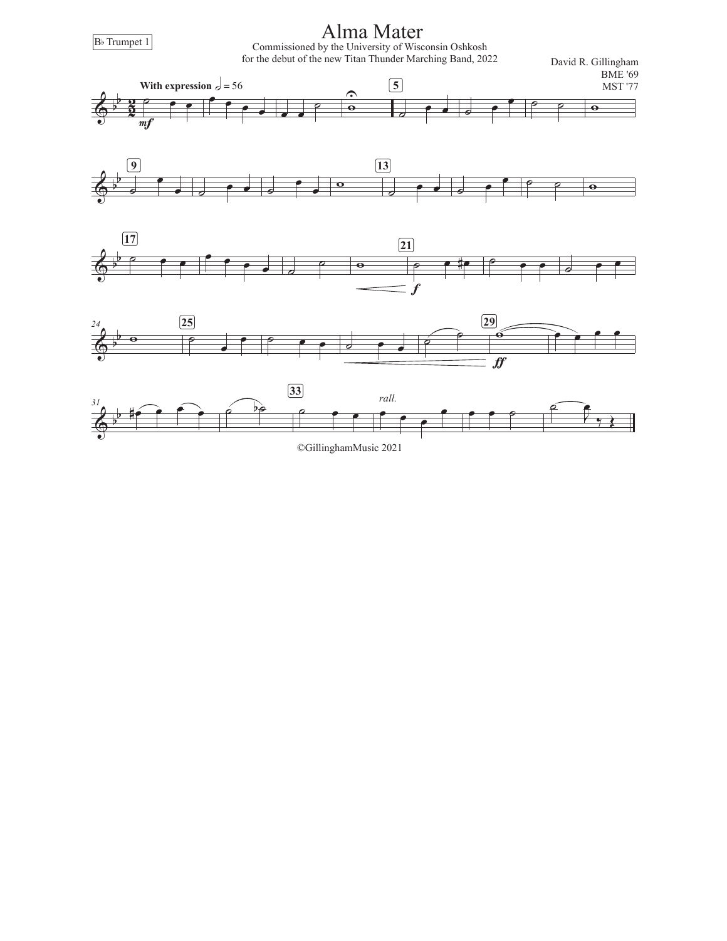$\overline{\mathbb{Q}}^{\frac{1}{2}}$ b  $\frac{2}{2}$  $\frac{2}{3}$   $\frac{2}{7}$   $\frac{1}{2}$  $\overline{mf}$ **With expression**  $\frac{1}{6}$  = 56  $\begin{array}{c} \begin{array}{c} \text{...} \\ \text{...} \end{array} \end{array}$ **5** ˙ <sup>œ</sup> <sup>œ</sup> ˙ ˙ <sup>w</sup> <sup>U</sup>  $\overline{A}$  $\begin{array}{c|c} \hline \circ & \bullet \\ \hline \circ & \bullet \end{array}$ **9**  $\overrightarrow{c}$   $\overrightarrow{e}$   $\overrightarrow{e}$   $\overrightarrow{e}$   $\overrightarrow{e}$ **13**  $\begin{array}{c|c|c|c|c|c} \hline \circ & \circ & \circ \end{array}$ **マス**  $b$   $\rho$   $\rho$   $\rho$ **17** <sup>œ</sup> <sup>œ</sup> <sup>œ</sup> <sup>œ</sup> ˙ ˙ <sup>w</sup> ˙ <sup>œ</sup> #œ f **21**  $\circ$   $\circ$   $\circ$   $\circ$   $\circ$   $\circ$  $\overline{A}$ b *24* **e**  $\begin{array}{c|c} \hline 25 \end{array}$  $\begin{array}{ccccc} \circ & \bullet & \bullet & \circ & \circ & \circ & \circ \\ \circ & \bullet & \bullet & \circ & \circ & \circ & \circ \end{array}$ **29 e e e e**  Alma Mater B<sub>b</sub> Trumpet 1 David R. Gillingham BME '69 MST '77 Commissioned by the University of Wisconsin Oshkosh for the debut of the new Titan Thunder Marching Band, 2022



 $f\hspace{-0.1cm}f$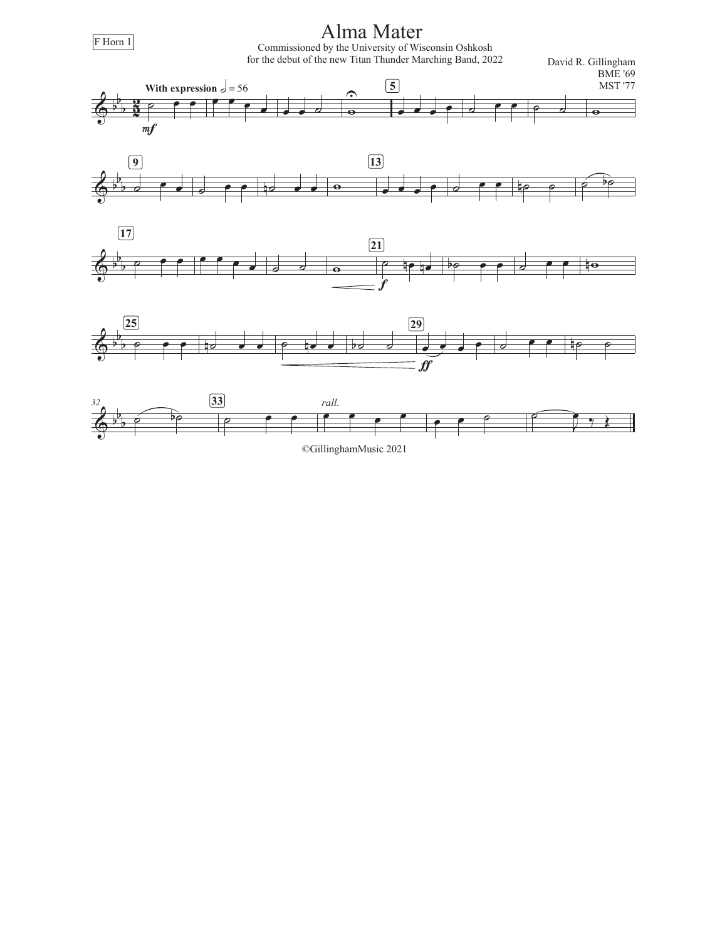

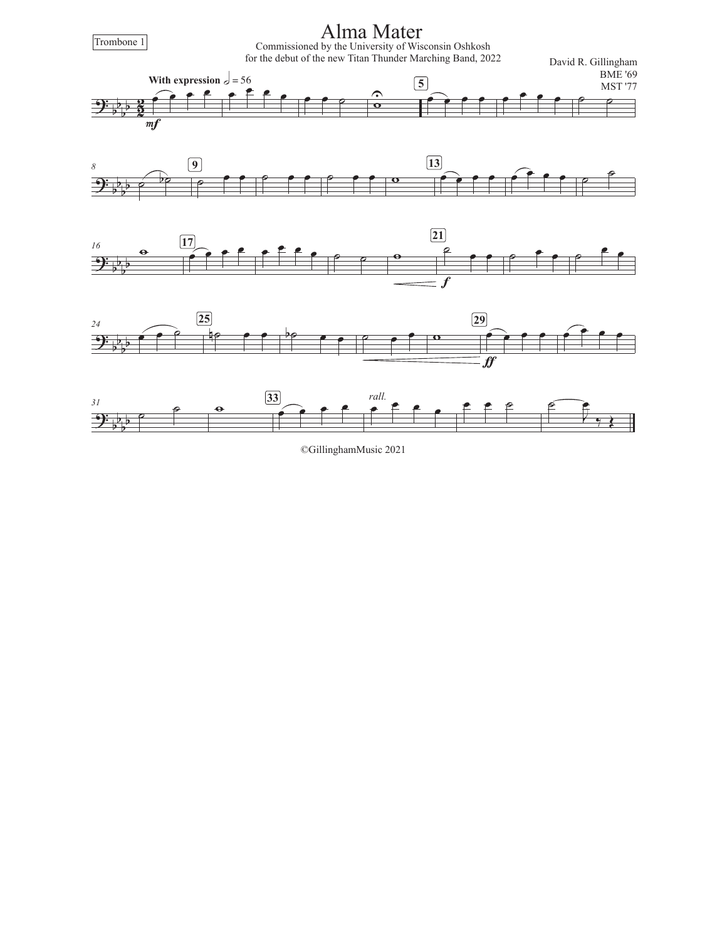

©GillinghamMusic 2021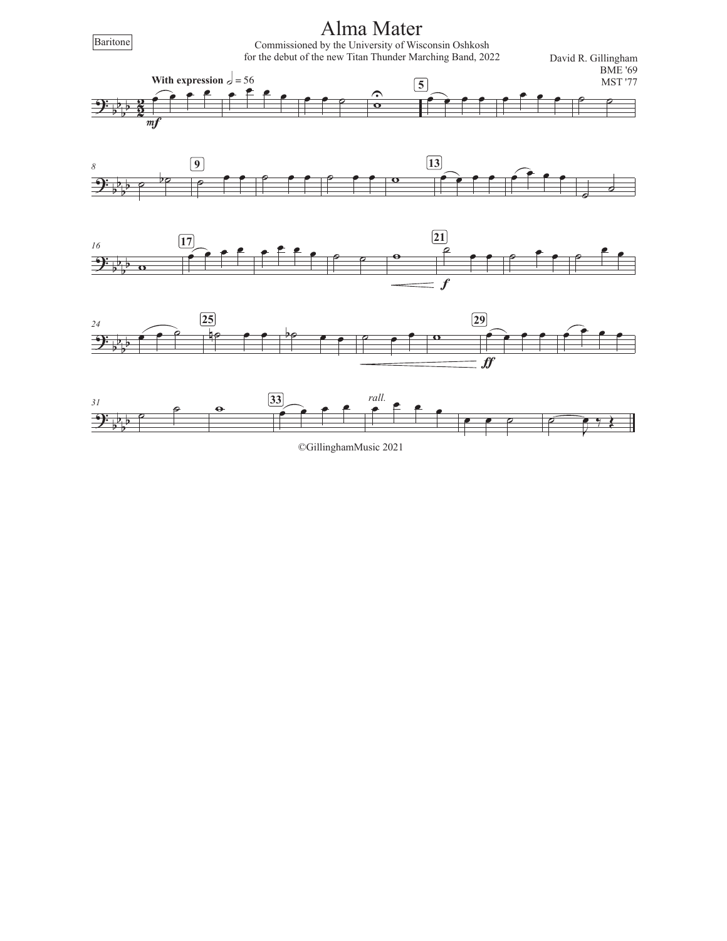

©GillinghamMusic 2021